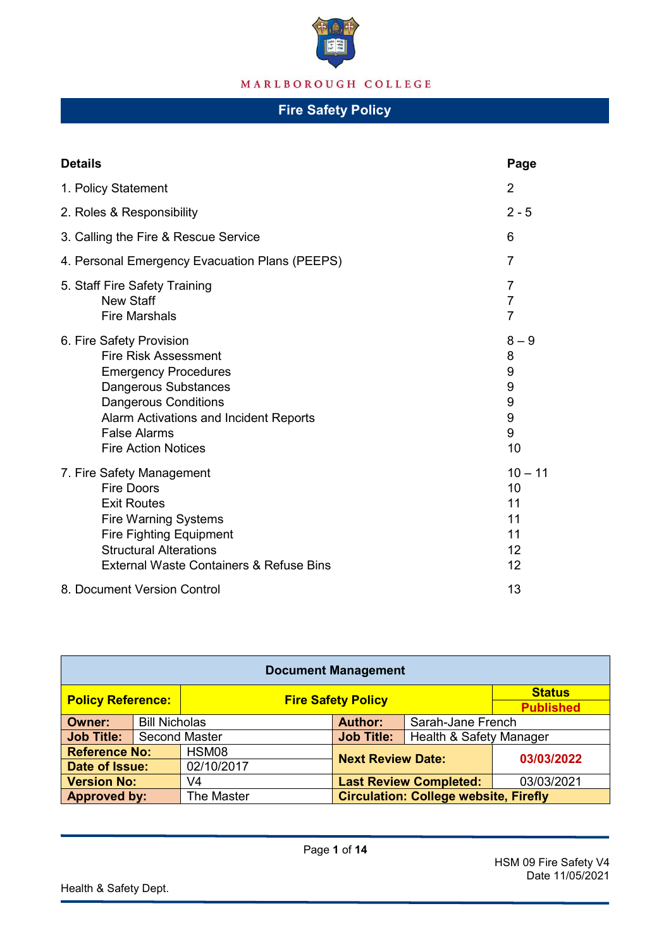

| <b>Details</b>                                                                                                                                                                                                                               | Page                                               |  |  |  |
|----------------------------------------------------------------------------------------------------------------------------------------------------------------------------------------------------------------------------------------------|----------------------------------------------------|--|--|--|
| 1. Policy Statement                                                                                                                                                                                                                          |                                                    |  |  |  |
| 2. Roles & Responsibility                                                                                                                                                                                                                    | $2 - 5$                                            |  |  |  |
| 3. Calling the Fire & Rescue Service                                                                                                                                                                                                         |                                                    |  |  |  |
| 4. Personal Emergency Evacuation Plans (PEEPS)                                                                                                                                                                                               |                                                    |  |  |  |
| 5. Staff Fire Safety Training<br><b>New Staff</b><br><b>Fire Marshals</b>                                                                                                                                                                    | $\overline{7}$<br>$\overline{7}$<br>$\overline{7}$ |  |  |  |
| 6. Fire Safety Provision<br><b>Fire Risk Assessment</b><br><b>Emergency Procedures</b><br>Dangerous Substances<br><b>Dangerous Conditions</b><br>Alarm Activations and Incident Reports<br><b>False Alarms</b><br><b>Fire Action Notices</b> | $8 - 9$<br>8<br>9<br>9<br>9<br>9<br>9<br>10        |  |  |  |
| 7. Fire Safety Management<br><b>Fire Doors</b><br><b>Exit Routes</b><br><b>Fire Warning Systems</b><br><b>Fire Fighting Equipment</b><br><b>Structural Alterations</b><br><b>External Waste Containers &amp; Refuse Bins</b>                 | $10 - 11$<br>10<br>11<br>11<br>11<br>12<br>12      |  |  |  |
| 8. Document Version Control                                                                                                                                                                                                                  | 13                                                 |  |  |  |

| <b>Document Management</b> |                      |                           |                                              |                  |            |
|----------------------------|----------------------|---------------------------|----------------------------------------------|------------------|------------|
| <b>Policy Reference:</b>   |                      | <b>Fire Safety Policy</b> |                                              | <b>Status</b>    |            |
|                            |                      |                           |                                              | <b>Published</b> |            |
| Owner:                     | <b>Bill Nicholas</b> |                           | <b>Author:</b><br>Sarah-Jane French          |                  |            |
| Job Title:                 | <b>Second Master</b> |                           | <b>Job Title:</b><br>Health & Safety Manager |                  |            |
| <b>Reference No:</b>       |                      | HSM08                     |                                              |                  | 03/03/2022 |
| Date of Issue:             |                      | 02/10/2017                | <b>Next Review Date:</b>                     |                  |            |
| <b>Version No:</b>         |                      | V4                        | <b>Last Review Completed:</b>                |                  | 03/03/2021 |
| <b>Approved by:</b>        |                      | The Master                | <b>Circulation: College website, Firefly</b> |                  |            |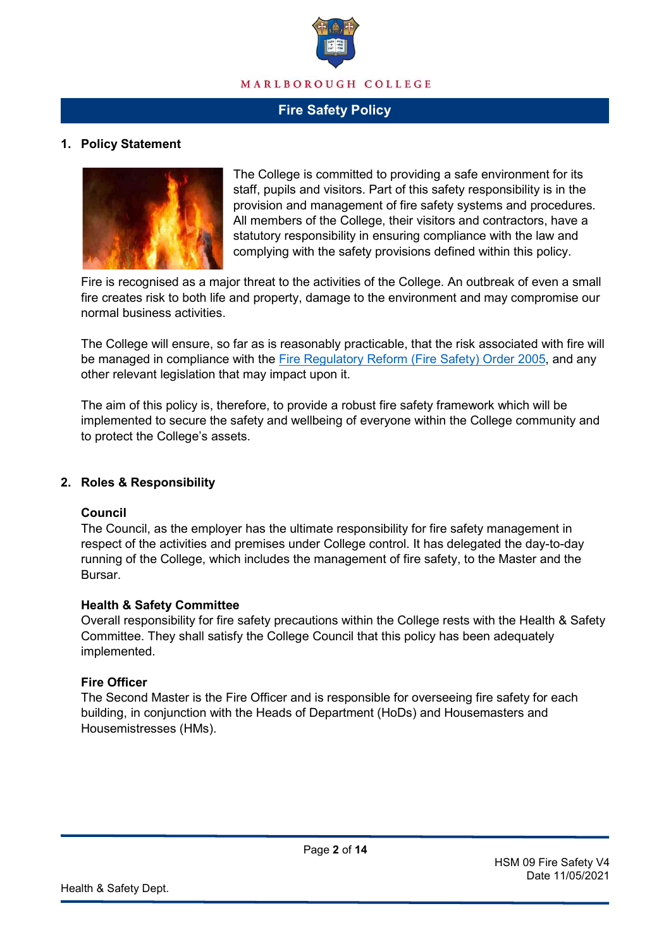

### **1. Policy Statement**



The College is committed to providing a safe environment for its staff, pupils and visitors. Part of this safety responsibility is in the provision and management of fire safety systems and procedures. All members of the College, their visitors and contractors, have a statutory responsibility in ensuring compliance with the law and complying with the safety provisions defined within this policy.

Fire is recognised as a major threat to the activities of the College. An outbreak of even a small fire creates risk to both life and property, damage to the environment and may compromise our normal business activities.

The College will ensure, so far as is reasonably practicable, that the risk associated with fire will be managed in compliance with the [Fire Regulatory Reform \(Fire](https://www.legislation.gov.uk/uksi/2005/1541/contents/made) Safety) Order 2005, and any other relevant legislation that may impact upon it.

The aim of this policy is, therefore, to provide a robust fire safety framework which will be implemented to secure the safety and wellbeing of everyone within the College community and to protect the College's assets.

#### **2. Roles & Responsibility**

#### **Council**

The Council, as the employer has the ultimate responsibility for fire safety management in respect of the activities and premises under College control. It has delegated the day-to-day running of the College, which includes the management of fire safety, to the Master and the Bursar.

#### **Health & Safety Committee**

Overall responsibility for fire safety precautions within the College rests with the Health & Safety Committee. They shall satisfy the College Council that this policy has been adequately implemented.

#### **Fire Officer**

The Second Master is the Fire Officer and is responsible for overseeing fire safety for each building, in conjunction with the Heads of Department (HoDs) and Housemasters and Housemistresses (HMs).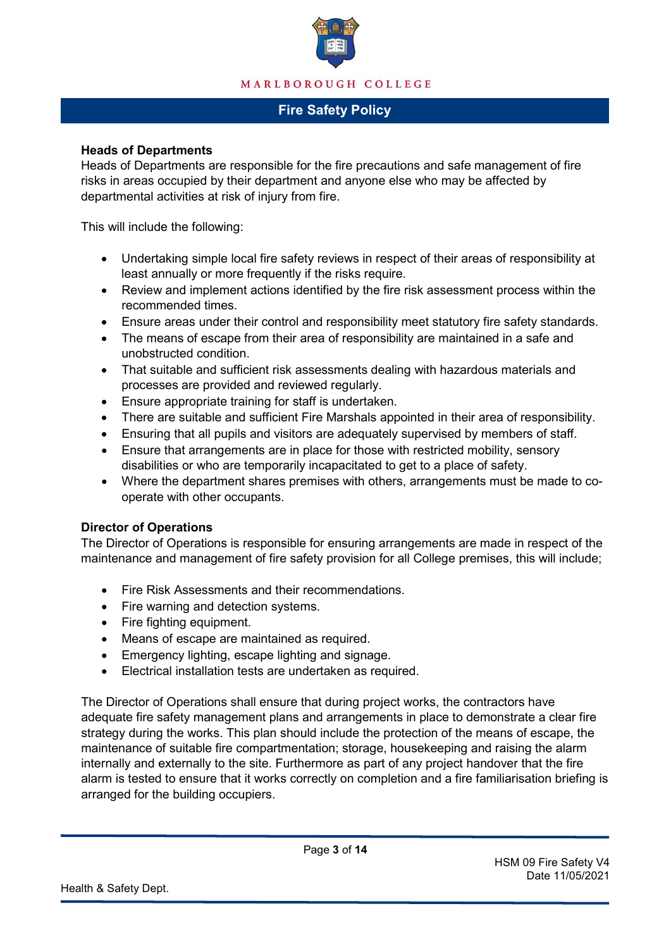

#### **Heads of Departments**

Heads of Departments are responsible for the fire precautions and safe management of fire risks in areas occupied by their department and anyone else who may be affected by departmental activities at risk of injury from fire.

This will include the following:

- Undertaking simple local fire safety reviews in respect of their areas of responsibility at least annually or more frequently if the risks require.
- Review and implement actions identified by the fire risk assessment process within the recommended times.
- Ensure areas under their control and responsibility meet statutory fire safety standards.
- The means of escape from their area of responsibility are maintained in a safe and unobstructed condition.
- That suitable and sufficient risk assessments dealing with hazardous materials and processes are provided and reviewed regularly.
- Ensure appropriate training for staff is undertaken.
- There are suitable and sufficient Fire Marshals appointed in their area of responsibility.
- Ensuring that all pupils and visitors are adequately supervised by members of staff.
- Ensure that arrangements are in place for those with restricted mobility, sensory disabilities or who are temporarily incapacitated to get to a place of safety.
- Where the department shares premises with others, arrangements must be made to cooperate with other occupants.

#### **Director of Operations**

The Director of Operations is responsible for ensuring arrangements are made in respect of the maintenance and management of fire safety provision for all College premises, this will include;

- Fire Risk Assessments and their recommendations.
- Fire warning and detection systems.
- Fire fighting equipment.
- Means of escape are maintained as required.
- Emergency lighting, escape lighting and signage.
- Electrical installation tests are undertaken as required.

The Director of Operations shall ensure that during project works, the contractors have adequate fire safety management plans and arrangements in place to demonstrate a clear fire strategy during the works. This plan should include the protection of the means of escape, the maintenance of suitable fire compartmentation; storage, housekeeping and raising the alarm internally and externally to the site. Furthermore as part of any project handover that the fire alarm is tested to ensure that it works correctly on completion and a fire familiarisation briefing is arranged for the building occupiers.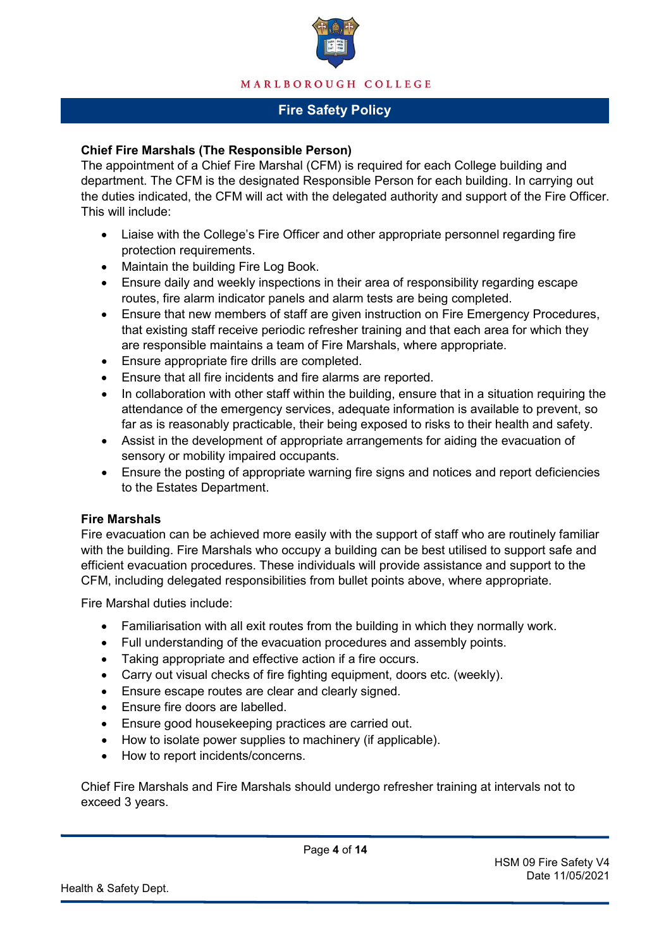

#### **Chief Fire Marshals (The Responsible Person)**

The appointment of a Chief Fire Marshal (CFM) is required for each College building and department. The CFM is the designated Responsible Person for each building. In carrying out the duties indicated, the CFM will act with the delegated authority and support of the Fire Officer. This will include:

- Liaise with the College's Fire Officer and other appropriate personnel regarding fire protection requirements.
- Maintain the building Fire Log Book.
- Ensure daily and weekly inspections in their area of responsibility regarding escape routes, fire alarm indicator panels and alarm tests are being completed.
- Ensure that new members of staff are given instruction on Fire Emergency Procedures, that existing staff receive periodic refresher training and that each area for which they are responsible maintains a team of Fire Marshals, where appropriate.
- Ensure appropriate fire drills are completed.
- Ensure that all fire incidents and fire alarms are reported.
- In collaboration with other staff within the building, ensure that in a situation requiring the attendance of the emergency services, adequate information is available to prevent, so far as is reasonably practicable, their being exposed to risks to their health and safety.
- Assist in the development of appropriate arrangements for aiding the evacuation of sensory or mobility impaired occupants.
- Ensure the posting of appropriate warning fire signs and notices and report deficiencies to the Estates Department.

#### **Fire Marshals**

Fire evacuation can be achieved more easily with the support of staff who are routinely familiar with the building. Fire Marshals who occupy a building can be best utilised to support safe and efficient evacuation procedures. These individuals will provide assistance and support to the CFM, including delegated responsibilities from bullet points above, where appropriate.

Fire Marshal duties include:

- Familiarisation with all exit routes from the building in which they normally work.
- Full understanding of the evacuation procedures and assembly points.
- Taking appropriate and effective action if a fire occurs.
- Carry out visual checks of fire fighting equipment, doors etc. (weekly).
- Ensure escape routes are clear and clearly signed.
- Ensure fire doors are labelled.
- Ensure good housekeeping practices are carried out.
- How to isolate power supplies to machinery (if applicable).
- How to report incidents/concerns.

Chief Fire Marshals and Fire Marshals should undergo refresher training at intervals not to exceed 3 years.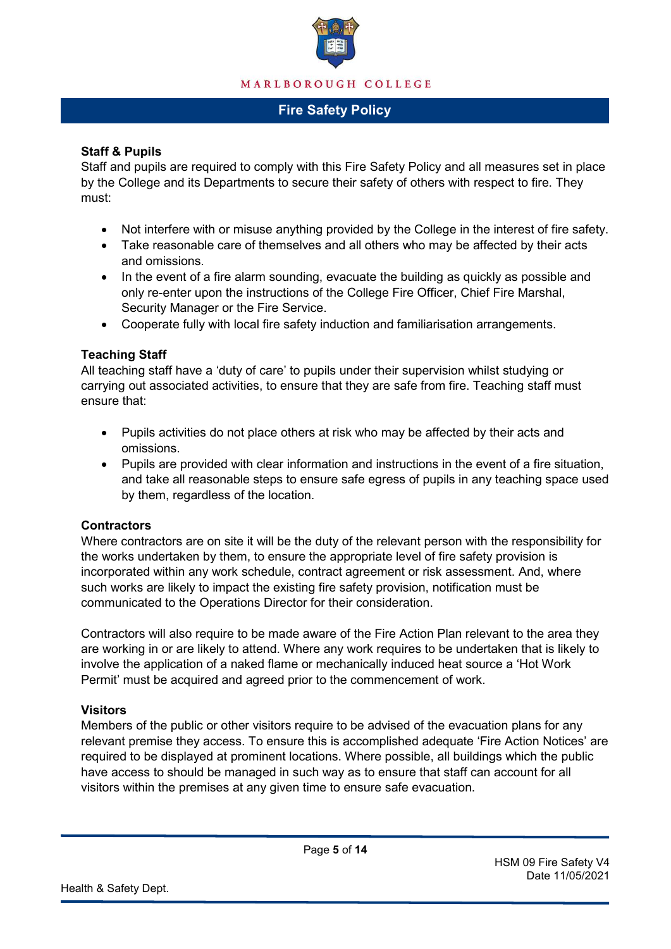

### **Staff & Pupils**

Staff and pupils are required to comply with this Fire Safety Policy and all measures set in place by the College and its Departments to secure their safety of others with respect to fire. They must:

- Not interfere with or misuse anything provided by the College in the interest of fire safety.
- Take reasonable care of themselves and all others who may be affected by their acts and omissions.
- In the event of a fire alarm sounding, evacuate the building as quickly as possible and only re-enter upon the instructions of the College Fire Officer, Chief Fire Marshal, Security Manager or the Fire Service.
- Cooperate fully with local fire safety induction and familiarisation arrangements.

### **Teaching Staff**

All teaching staff have a 'duty of care' to pupils under their supervision whilst studying or carrying out associated activities, to ensure that they are safe from fire. Teaching staff must ensure that:

- Pupils activities do not place others at risk who may be affected by their acts and omissions.
- Pupils are provided with clear information and instructions in the event of a fire situation, and take all reasonable steps to ensure safe egress of pupils in any teaching space used by them, regardless of the location.

#### **Contractors**

Where contractors are on site it will be the duty of the relevant person with the responsibility for the works undertaken by them, to ensure the appropriate level of fire safety provision is incorporated within any work schedule, contract agreement or risk assessment. And, where such works are likely to impact the existing fire safety provision, notification must be communicated to the Operations Director for their consideration.

Contractors will also require to be made aware of the Fire Action Plan relevant to the area they are working in or are likely to attend. Where any work requires to be undertaken that is likely to involve the application of a naked flame or mechanically induced heat source a 'Hot Work Permit' must be acquired and agreed prior to the commencement of work.

### **Visitors**

Members of the public or other visitors require to be advised of the evacuation plans for any relevant premise they access. To ensure this is accomplished adequate 'Fire Action Notices' are required to be displayed at prominent locations. Where possible, all buildings which the public have access to should be managed in such way as to ensure that staff can account for all visitors within the premises at any given time to ensure safe evacuation.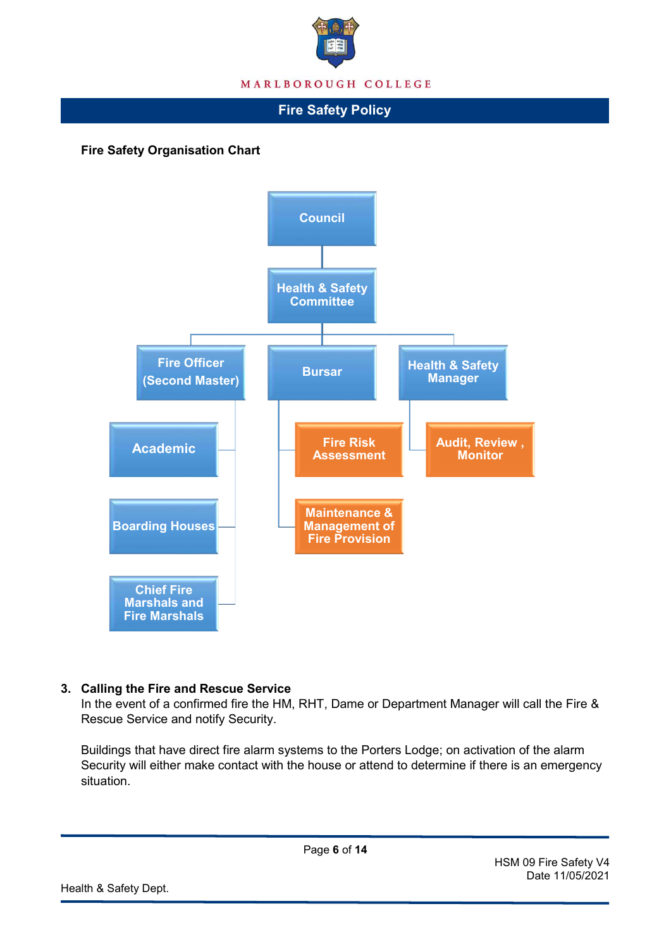

**Fire Safety Organisation Chart**



### **3. Calling the Fire and Rescue Service**

In the event of a confirmed fire the HM, RHT, Dame or Department Manager will call the Fire & Rescue Service and notify Security.

Buildings that have direct fire alarm systems to the Porters Lodge; on activation of the alarm Security will either make contact with the house or attend to determine if there is an emergency situation.

HSM 09 Fire Safety V4 Date 11/05/2021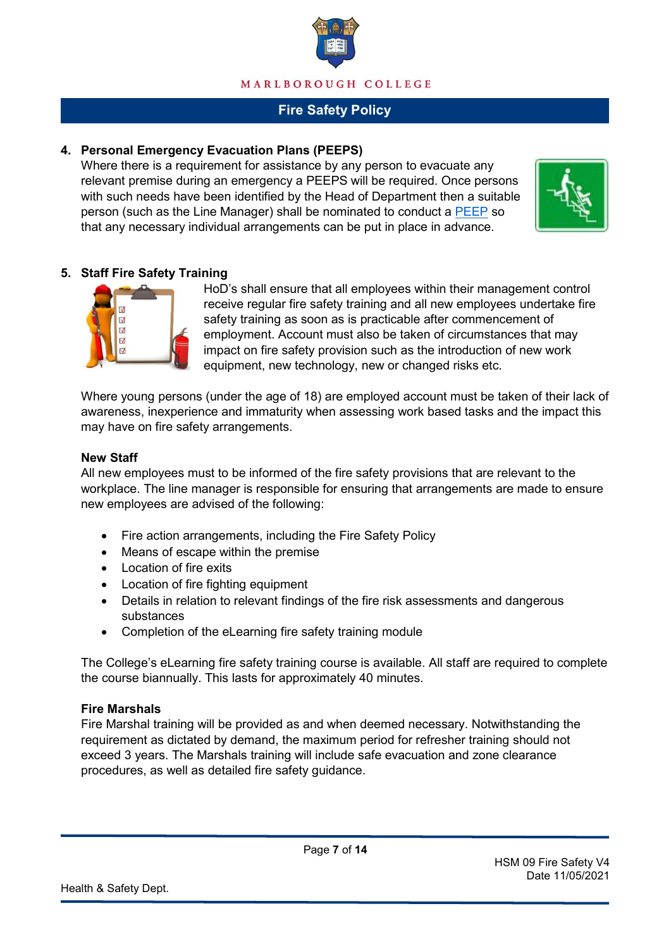

### **4. Personal Emergency Evacuation Plans (PEEPS)**

Where there is a requirement for assistance by any person to evacuate any relevant premise during an emergency a PEEPS will be required. Once persons with such needs have been identified by the Head of Department then a suitable person (such as the Line Manager) shall be nominated to conduct a [PEEP](https://firefly.marlboroughcollege.org/resource.aspx?id=60852) so that any necessary individual arrangements can be put in place in advance.



### **5. Staff Fire Safety Training**



HoD's shall ensure that all employees within their management control receive regular fire safety training and all new employees undertake fire safety training as soon as is practicable after commencement of employment. Account must also be taken of circumstances that may impact on fire safety provision such as the introduction of new work equipment, new technology, new or changed risks etc.

Where young persons (under the age of 18) are employed account must be taken of their lack of awareness, inexperience and immaturity when assessing work based tasks and the impact this may have on fire safety arrangements.

#### **New Staff**

All new employees must to be informed of the fire safety provisions that are relevant to the workplace. The line manager is responsible for ensuring that arrangements are made to ensure new employees are advised of the following:

- Fire action arrangements, including the Fire Safety Policy
- Means of escape within the premise
- Location of fire exits
- Location of fire fighting equipment
- Details in relation to relevant findings of the fire risk assessments and dangerous substances
- Completion of the eLearning fire safety training module

The College's eLearning fire safety training course is available. All staff are required to complete the course biannually. This lasts for approximately 40 minutes.

#### **Fire Marshals**

Fire Marshal training will be provided as and when deemed necessary. Notwithstanding the requirement as dictated by demand, the maximum period for refresher training should not exceed 3 years. The Marshals training will include safe evacuation and zone clearance procedures, as well as detailed fire safety guidance.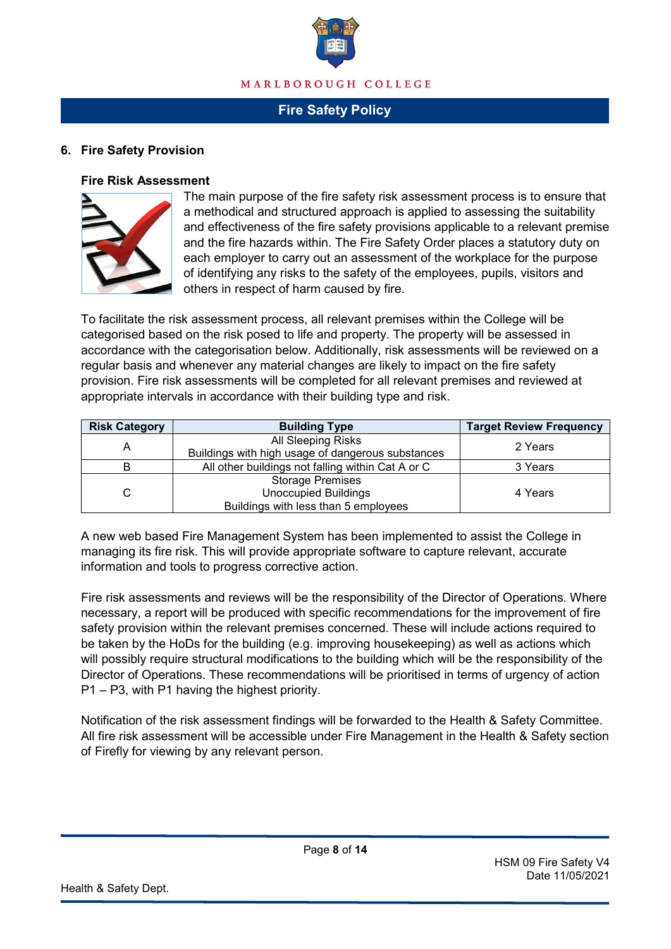

#### **6. Fire Safety Provision**

#### **Fire Risk Assessment**



The main purpose of the fire safety risk assessment process is to ensure that a methodical and structured approach is applied to assessing the suitability and effectiveness of the fire safety provisions applicable to a relevant premise and the fire hazards within. The Fire Safety Order places a statutory duty on each employer to carry out an assessment of the workplace for the purpose of identifying any risks to the safety of the employees, pupils, visitors and others in respect of harm caused by fire.

To facilitate the risk assessment process, all relevant premises within the College will be categorised based on the risk posed to life and property. The property will be assessed in accordance with the categorisation below. Additionally, risk assessments will be reviewed on a regular basis and whenever any material changes are likely to impact on the fire safety provision. Fire risk assessments will be completed for all relevant premises and reviewed at appropriate intervals in accordance with their building type and risk.

| <b>Risk Category</b> | <b>Building Type</b>                              | <b>Target Review Frequency</b> |  |
|----------------------|---------------------------------------------------|--------------------------------|--|
| Α                    | All Sleeping Risks                                | 2 Years                        |  |
|                      | Buildings with high usage of dangerous substances |                                |  |
| B                    | All other buildings not falling within Cat A or C | 3 Years                        |  |
| C                    | <b>Storage Premises</b>                           |                                |  |
|                      | <b>Unoccupied Buildings</b>                       | 4 Years                        |  |
|                      | Buildings with less than 5 employees              |                                |  |

A new web based Fire Management System has been implemented to assist the College in managing its fire risk. This will provide appropriate software to capture relevant, accurate information and tools to progress corrective action.

Fire risk assessments and reviews will be the responsibility of the Director of Operations. Where necessary, a report will be produced with specific recommendations for the improvement of fire safety provision within the relevant premises concerned. These will include actions required to be taken by the HoDs for the building (e.g. improving housekeeping) as well as actions which will possibly require structural modifications to the building which will be the responsibility of the Director of Operations. These recommendations will be prioritised in terms of urgency of action P1 – P3, with P1 having the highest priority.

Notification of the risk assessment findings will be forwarded to the Health & Safety Committee. All fire risk assessment will be accessible under Fire Management in the Health & Safety section of Firefly for viewing by any relevant person.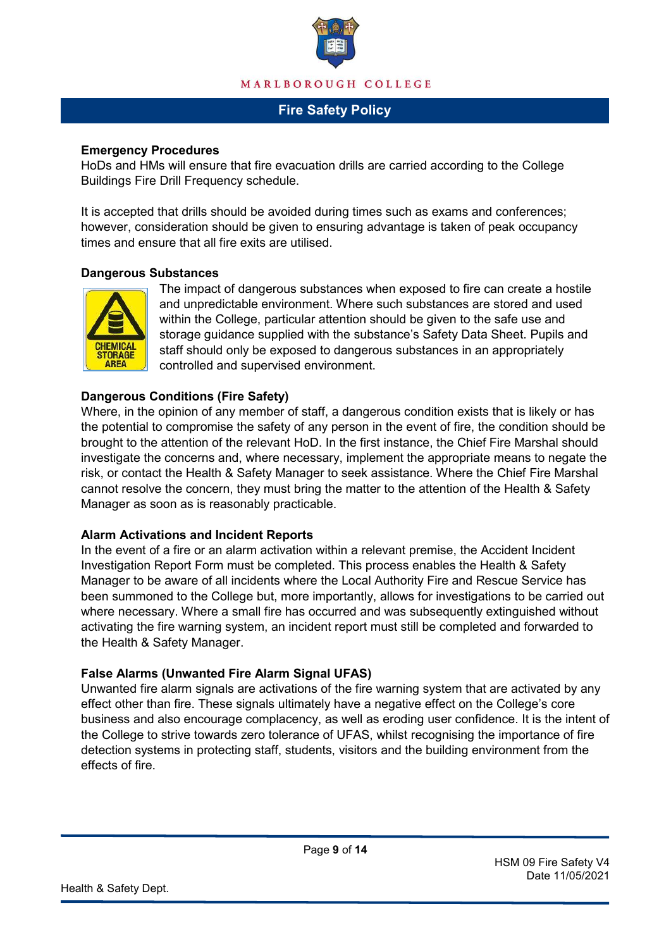

#### **Emergency Procedures**

HoDs and HMs will ensure that fire evacuation drills are carried according to the College Buildings Fire Drill Frequency schedule.

It is accepted that drills should be avoided during times such as exams and conferences; however, consideration should be given to ensuring advantage is taken of peak occupancy times and ensure that all fire exits are utilised.

#### **Dangerous Substances**



The impact of dangerous substances when exposed to fire can create a hostile and unpredictable environment. Where such substances are stored and used within the College, particular attention should be given to the safe use and storage guidance supplied with the substance's Safety Data Sheet. Pupils and staff should only be exposed to dangerous substances in an appropriately controlled and supervised environment.

### **Dangerous Conditions (Fire Safety)**

Where, in the opinion of any member of staff, a dangerous condition exists that is likely or has the potential to compromise the safety of any person in the event of fire, the condition should be brought to the attention of the relevant HoD. In the first instance, the Chief Fire Marshal should investigate the concerns and, where necessary, implement the appropriate means to negate the risk, or contact the Health & Safety Manager to seek assistance. Where the Chief Fire Marshal cannot resolve the concern, they must bring the matter to the attention of the Health & Safety Manager as soon as is reasonably practicable.

#### **Alarm Activations and Incident Reports**

In the event of a fire or an alarm activation within a relevant premise, the Accident Incident Investigation Report Form must be completed. This process enables the Health & Safety Manager to be aware of all incidents where the Local Authority Fire and Rescue Service has been summoned to the College but, more importantly, allows for investigations to be carried out where necessary. Where a small fire has occurred and was subsequently extinguished without activating the fire warning system, an incident report must still be completed and forwarded to the Health & Safety Manager.

### **False Alarms (Unwanted Fire Alarm Signal UFAS)**

Unwanted fire alarm signals are activations of the fire warning system that are activated by any effect other than fire. These signals ultimately have a negative effect on the College's core business and also encourage complacency, as well as eroding user confidence. It is the intent of the College to strive towards zero tolerance of UFAS, whilst recognising the importance of fire detection systems in protecting staff, students, visitors and the building environment from the effects of fire.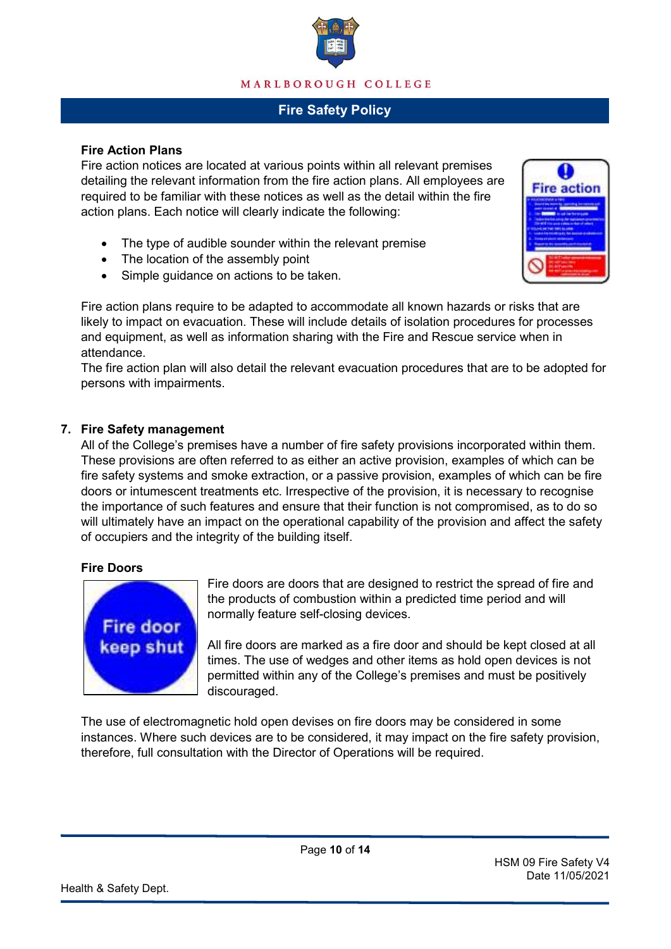

#### **Fire Action Plans**

Fire action notices are located at various points within all relevant premises detailing the relevant information from the fire action plans. All employees are required to be familiar with these notices as well as the detail within the fire action plans. Each notice will clearly indicate the following:

- The type of audible sounder within the relevant premise
- The location of the assembly point
- Simple guidance on actions to be taken.

Fire action plans require to be adapted to accommodate all known hazards or risks that are likely to impact on evacuation. These will include details of isolation procedures for processes and equipment, as well as information sharing with the Fire and Rescue service when in attendance.

The fire action plan will also detail the relevant evacuation procedures that are to be adopted for persons with impairments.

### **7. Fire Safety management**

All of the College's premises have a number of fire safety provisions incorporated within them. These provisions are often referred to as either an active provision, examples of which can be fire safety systems and smoke extraction, or a passive provision, examples of which can be fire doors or intumescent treatments etc. Irrespective of the provision, it is necessary to recognise the importance of such features and ensure that their function is not compromised, as to do so will ultimately have an impact on the operational capability of the provision and affect the safety of occupiers and the integrity of the building itself.

#### **Fire Doors**



Fire doors are doors that are designed to restrict the spread of fire and the products of combustion within a predicted time period and will normally feature self-closing devices.

All fire doors are marked as a fire door and should be kept closed at all times. The use of wedges and other items as hold open devices is not permitted within any of the College's premises and must be positively discouraged.

The use of electromagnetic hold open devises on fire doors may be considered in some instances. Where such devices are to be considered, it may impact on the fire safety provision, therefore, full consultation with the Director of Operations will be required.

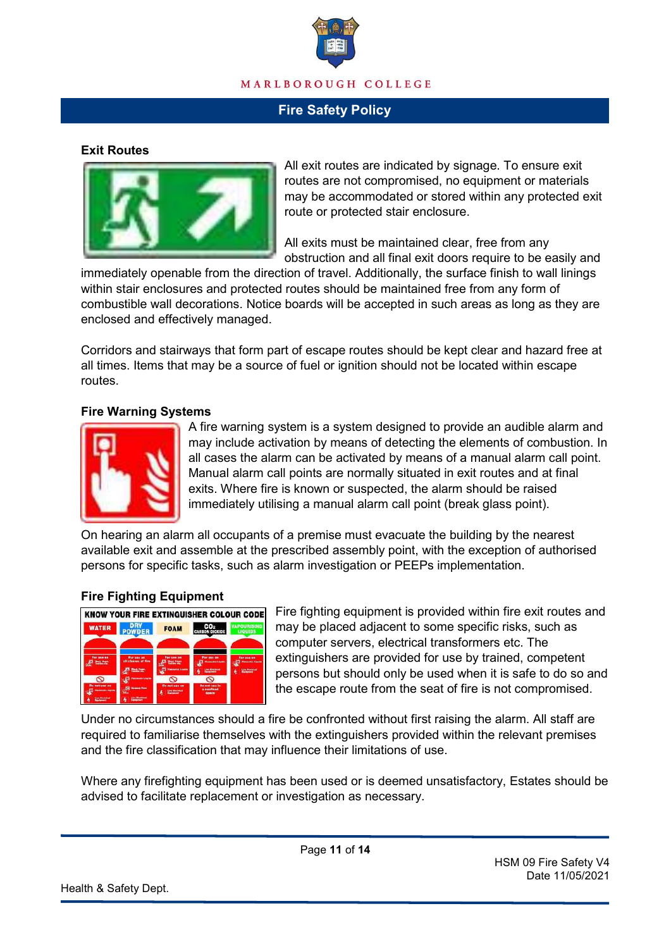

### **Exit Routes**



All exit routes are indicated by signage. To ensure exit routes are not compromised, no equipment or materials may be accommodated or stored within any protected exit route or protected stair enclosure.

All exits must be maintained clear, free from any obstruction and all final exit doors require to be easily and

immediately openable from the direction of travel. Additionally, the surface finish to wall linings within stair enclosures and protected routes should be maintained free from any form of combustible wall decorations. Notice boards will be accepted in such areas as long as they are enclosed and effectively managed.

Corridors and stairways that form part of escape routes should be kept clear and hazard free at all times. Items that may be a source of fuel or ignition should not be located within escape routes.

#### **Fire Warning Systems**



A fire warning system is a system designed to provide an audible alarm and may include activation by means of detecting the elements of combustion. In all cases the alarm can be activated by means of a manual alarm call point. Manual alarm call points are normally situated in exit routes and at final exits. Where fire is known or suspected, the alarm should be raised immediately utilising a manual alarm call point (break glass point).

On hearing an alarm all occupants of a premise must evacuate the building by the nearest available exit and assemble at the prescribed assembly point, with the exception of authorised persons for specific tasks, such as alarm investigation or PEEPs implementation.

#### **Fire Fighting Equipment**



Fire fighting equipment is provided within fire exit routes and may be placed adjacent to some specific risks, such as computer servers, electrical transformers etc. The extinguishers are provided for use by trained, competent persons but should only be used when it is safe to do so and the escape route from the seat of fire is not compromised.

Under no circumstances should a fire be confronted without first raising the alarm. All staff are required to familiarise themselves with the extinguishers provided within the relevant premises and the fire classification that may influence their limitations of use.

Where any firefighting equipment has been used or is deemed unsatisfactory, Estates should be advised to facilitate replacement or investigation as necessary.

Page **11** of **14**

HSM 09 Fire Safety V4 Date 11/05/2021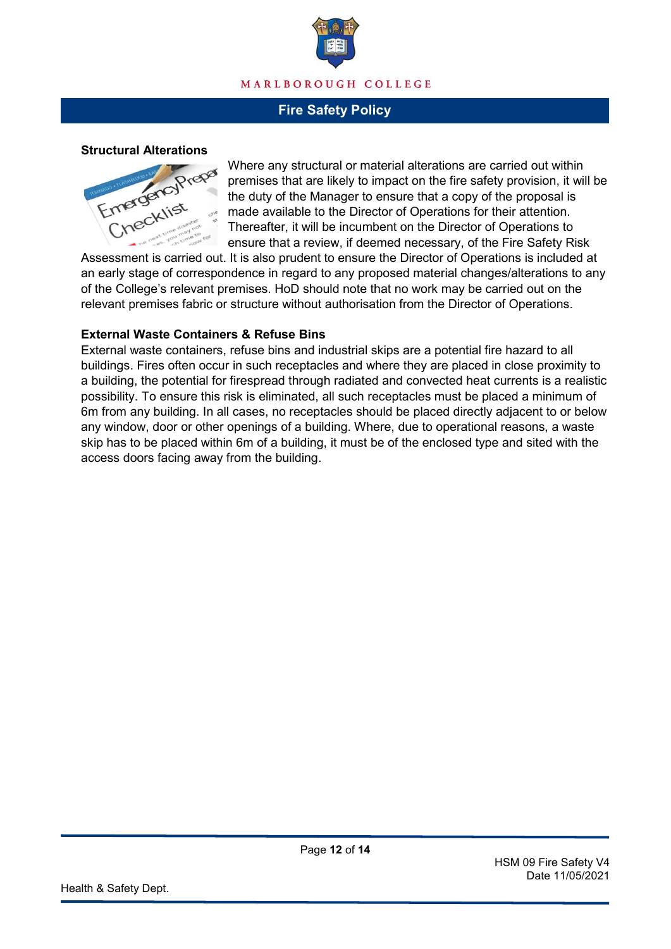

#### **Structural Alterations**



Where any structural or material alterations are carried out within premises that are likely to impact on the fire safety provision, it will be the duty of the Manager to ensure that a copy of the proposal is made available to the Director of Operations for their attention. Thereafter, it will be incumbent on the Director of Operations to ensure that a review, if deemed necessary, of the Fire Safety Risk

Assessment is carried out. It is also prudent to ensure the Director of Operations is included at an early stage of correspondence in regard to any proposed material changes/alterations to any of the College's relevant premises. HoD should note that no work may be carried out on the relevant premises fabric or structure without authorisation from the Director of Operations.

#### **External Waste Containers & Refuse Bins**

External waste containers, refuse bins and industrial skips are a potential fire hazard to all buildings. Fires often occur in such receptacles and where they are placed in close proximity to a building, the potential for firespread through radiated and convected heat currents is a realistic possibility. To ensure this risk is eliminated, all such receptacles must be placed a minimum of 6m from any building. In all cases, no receptacles should be placed directly adjacent to or below any window, door or other openings of a building. Where, due to operational reasons, a waste skip has to be placed within 6m of a building, it must be of the enclosed type and sited with the access doors facing away from the building.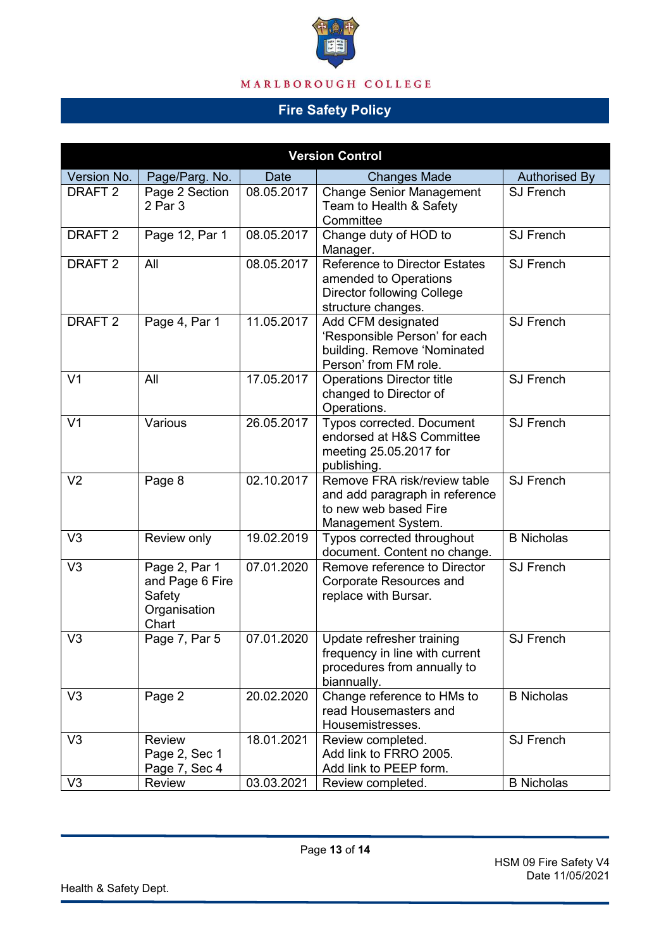

# MARLBOROUGH COLLEGE

# **Fire Safety Policy**

| <b>Version Control</b> |                                                                     |            |                                                                                                                          |                      |
|------------------------|---------------------------------------------------------------------|------------|--------------------------------------------------------------------------------------------------------------------------|----------------------|
| Version No.            | Page/Parg. No.                                                      | Date       | <b>Changes Made</b>                                                                                                      | <b>Authorised By</b> |
| DRAFT <sub>2</sub>     | Page 2 Section<br>2 Par 3                                           | 08.05.2017 | <b>Change Senior Management</b><br>Team to Health & Safety<br>Committee                                                  | <b>SJ French</b>     |
| DRAFT <sub>2</sub>     | Page 12, Par 1                                                      | 08.05.2017 | Change duty of HOD to<br>Manager.                                                                                        | <b>SJ French</b>     |
| DRAFT <sub>2</sub>     | All                                                                 | 08.05.2017 | <b>Reference to Director Estates</b><br>amended to Operations<br><b>Director following College</b><br>structure changes. | <b>SJ French</b>     |
| DRAFT <sub>2</sub>     | Page 4, Par 1                                                       | 11.05.2017 | Add CFM designated<br>'Responsible Person' for each<br>building. Remove 'Nominated<br>Person' from FM role.              | <b>SJ French</b>     |
| V <sub>1</sub>         | All                                                                 | 17.05.2017 | <b>Operations Director title</b><br>changed to Director of<br>Operations.                                                | <b>SJ French</b>     |
| V <sub>1</sub>         | Various                                                             | 26.05.2017 | <b>Typos corrected. Document</b><br>endorsed at H&S Committee<br>meeting 25.05.2017 for<br>publishing.                   | <b>SJ French</b>     |
| V <sub>2</sub>         | Page 8                                                              | 02.10.2017 | Remove FRA risk/review table<br>and add paragraph in reference<br>to new web based Fire<br>Management System.            | <b>SJ French</b>     |
| V <sub>3</sub>         | Review only                                                         | 19.02.2019 | Typos corrected throughout<br>document. Content no change.                                                               | <b>B</b> Nicholas    |
| V <sub>3</sub>         | Page 2, Par 1<br>and Page 6 Fire<br>Safety<br>Organisation<br>Chart | 07.01.2020 | Remove reference to Director<br><b>Corporate Resources and</b><br>replace with Bursar.                                   | <b>SJ French</b>     |
| V <sub>3</sub>         | Page 7, Par 5                                                       | 07.01.2020 | Update refresher training<br>frequency in line with current<br>procedures from annually to<br>biannually.                | <b>SJ French</b>     |
| V <sub>3</sub>         | Page 2                                                              | 20.02.2020 | Change reference to HMs to<br>read Housemasters and<br>Housemistresses.                                                  | <b>B</b> Nicholas    |
| V <sub>3</sub>         | <b>Review</b><br>Page 2, Sec 1<br>Page 7, Sec 4                     | 18.01.2021 | Review completed.<br>Add link to FRRO 2005.<br>Add link to PEEP form.                                                    | <b>SJ French</b>     |
| V <sub>3</sub>         | Review                                                              | 03.03.2021 | Review completed.                                                                                                        | <b>B</b> Nicholas    |